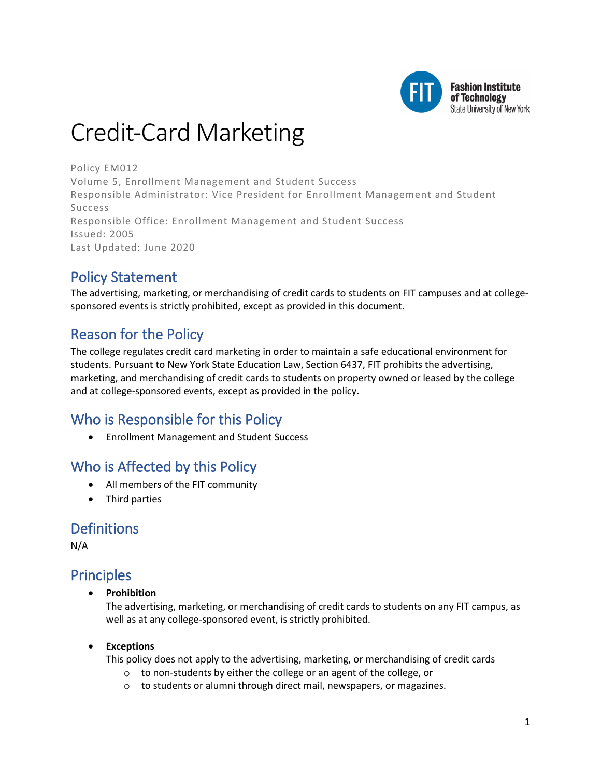

# Credit-Card Marketing

Policy EM012 Volume 5, Enrollment Management and Student Success Responsible Administrator: Vice President for Enrollment Management and Student Success Responsible Office: Enrollment Management and Student Success Issued: 2005 Last Updated: June 2020

# Policy Statement

The advertising, marketing, or merchandising of credit cards to students on FIT campuses and at collegesponsored events is strictly prohibited, except as provided in this document.

# Reason for the Policy

The college regulates credit card marketing in order to maintain a safe educational environment for students. Pursuant to New York State Education Law, Section 6437, FIT prohibits the advertising, marketing, and merchandising of credit cards to students on property owned or leased by the college and at college-sponsored events, except as provided in the policy.

# Who is Responsible for this Policy

• Enrollment Management and Student Success

# Who is Affected by this Policy

- All members of the FIT community
- Third parties

### **Definitions**

N/A

### Principles

• **Prohibition**

The advertising, marketing, or merchandising of credit cards to students on any FIT campus, as well as at any college-sponsored event, is strictly prohibited.

#### • **Exceptions**

This policy does not apply to the advertising, marketing, or merchandising of credit cards

- o to non-students by either the college or an agent of the college, or
- o to students or alumni through direct mail, newspapers, or magazines.